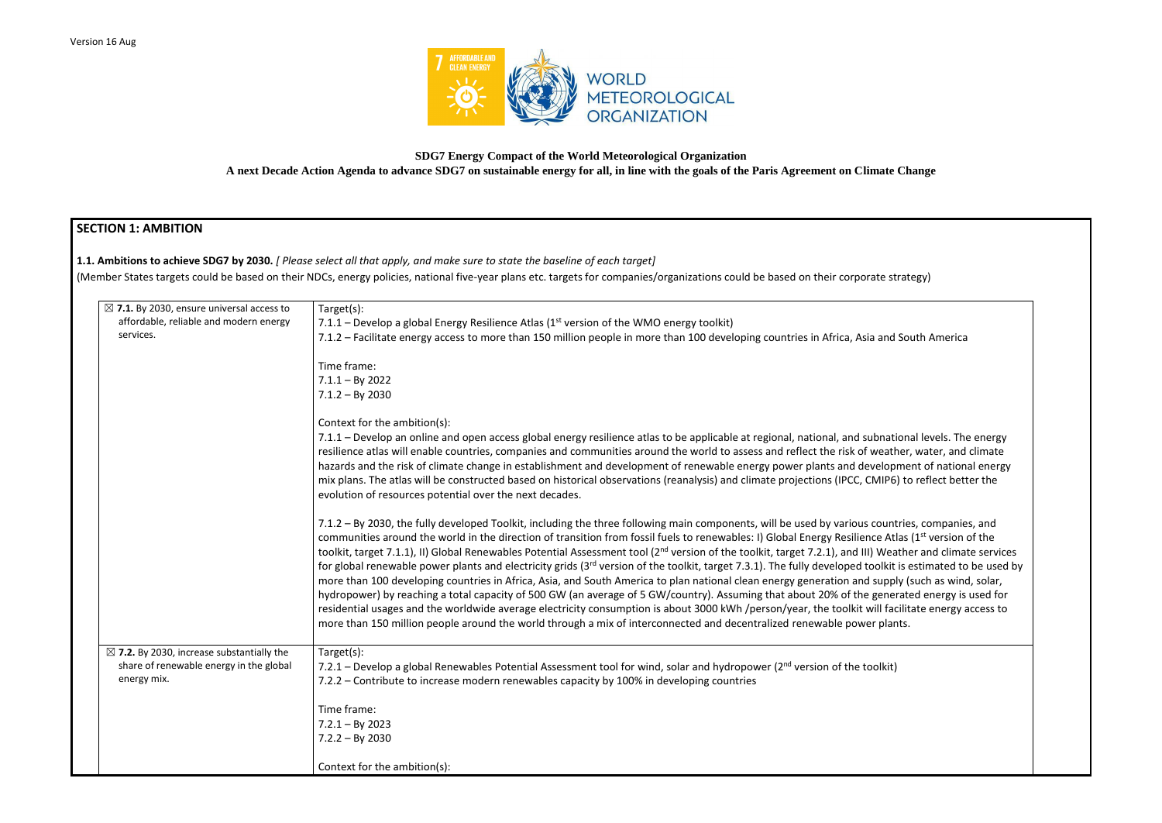

# **SDG7 Energy Compact of the World Meteorological Organization A next Decade Action Agenda to advance SDG7 on sustainable energy for all, in line with the goals of the Paris Agreement on Climate Change**

# **SECTION 1: AMBITION**

**1.1. Ambitions to achieve SDG7 by 2030.** *[ Please select all that apply, and make sure to state the baseline of each target]* 

(Member States targets could be based on their NDCs, energy policies, national five-year plans etc. targets for companies/organizations could be based on their corporate strategy)

| $\boxtimes$ 7.1. By 2030, ensure universal access to                                                           | Target(s):                                                                                                                                                                                                                                                                                                                                                                                                                                                                                                                                                                                                                                                                                                                                                                                                                                                                                                                                                                                                                                                                                |
|----------------------------------------------------------------------------------------------------------------|-------------------------------------------------------------------------------------------------------------------------------------------------------------------------------------------------------------------------------------------------------------------------------------------------------------------------------------------------------------------------------------------------------------------------------------------------------------------------------------------------------------------------------------------------------------------------------------------------------------------------------------------------------------------------------------------------------------------------------------------------------------------------------------------------------------------------------------------------------------------------------------------------------------------------------------------------------------------------------------------------------------------------------------------------------------------------------------------|
| affordable, reliable and modern energy                                                                         | 7.1.1 – Develop a global Energy Resilience Atlas ( $1st$ version of the WMO energy toolkit)                                                                                                                                                                                                                                                                                                                                                                                                                                                                                                                                                                                                                                                                                                                                                                                                                                                                                                                                                                                               |
| services.                                                                                                      | 7.1.2 – Facilitate energy access to more than 150 million people in more than 100 developing countries in Africa, Asia and So                                                                                                                                                                                                                                                                                                                                                                                                                                                                                                                                                                                                                                                                                                                                                                                                                                                                                                                                                             |
|                                                                                                                | Time frame:                                                                                                                                                                                                                                                                                                                                                                                                                                                                                                                                                                                                                                                                                                                                                                                                                                                                                                                                                                                                                                                                               |
|                                                                                                                | $7.1.1 - By 2022$                                                                                                                                                                                                                                                                                                                                                                                                                                                                                                                                                                                                                                                                                                                                                                                                                                                                                                                                                                                                                                                                         |
|                                                                                                                | $7.1.2 - By 2030$                                                                                                                                                                                                                                                                                                                                                                                                                                                                                                                                                                                                                                                                                                                                                                                                                                                                                                                                                                                                                                                                         |
|                                                                                                                | Context for the ambition(s):                                                                                                                                                                                                                                                                                                                                                                                                                                                                                                                                                                                                                                                                                                                                                                                                                                                                                                                                                                                                                                                              |
|                                                                                                                | 7.1.1 - Develop an online and open access global energy resilience atlas to be applicable at regional, national, and subnation<br>resilience atlas will enable countries, companies and communities around the world to assess and reflect the risk of weather<br>hazards and the risk of climate change in establishment and development of renewable energy power plants and developme<br>mix plans. The atlas will be constructed based on historical observations (reanalysis) and climate projections (IPCC, CMIP6) to<br>evolution of resources potential over the next decades.                                                                                                                                                                                                                                                                                                                                                                                                                                                                                                    |
|                                                                                                                | 7.1.2 – By 2030, the fully developed Toolkit, including the three following main components, will be used by various countrie<br>communities around the world in the direction of transition from fossil fuels to renewables: I) Global Energy Resilience Atlas<br>toolkit, target 7.1.1), II) Global Renewables Potential Assessment tool (2 <sup>nd</sup> version of the toolkit, target 7.2.1), and III) Weath<br>for global renewable power plants and electricity grids (3 <sup>rd</sup> version of the toolkit, target 7.3.1). The fully developed toolkit is<br>more than 100 developing countries in Africa, Asia, and South America to plan national clean energy generation and supply (<br>hydropower) by reaching a total capacity of 500 GW (an average of 5 GW/country). Assuming that about 20% of the generat<br>residential usages and the worldwide average electricity consumption is about 3000 kWh /person/year, the toolkit will facilit<br>more than 150 million people around the world through a mix of interconnected and decentralized renewable power plants. |
| $\boxtimes$ 7.2. By 2030, increase substantially the<br>share of renewable energy in the global<br>energy mix. | Target(s):<br>7.2.1 – Develop a global Renewables Potential Assessment tool for wind, solar and hydropower ( $2^{nd}$ version of the toolkit)<br>7.2.2 – Contribute to increase modern renewables capacity by 100% in developing countries                                                                                                                                                                                                                                                                                                                                                                                                                                                                                                                                                                                                                                                                                                                                                                                                                                                |
|                                                                                                                | Time frame:                                                                                                                                                                                                                                                                                                                                                                                                                                                                                                                                                                                                                                                                                                                                                                                                                                                                                                                                                                                                                                                                               |
|                                                                                                                | $7.2.1 - By 2023$                                                                                                                                                                                                                                                                                                                                                                                                                                                                                                                                                                                                                                                                                                                                                                                                                                                                                                                                                                                                                                                                         |
|                                                                                                                | $7.2.2 - By 2030$                                                                                                                                                                                                                                                                                                                                                                                                                                                                                                                                                                                                                                                                                                                                                                                                                                                                                                                                                                                                                                                                         |
|                                                                                                                | Context for the ambition(s):                                                                                                                                                                                                                                                                                                                                                                                                                                                                                                                                                                                                                                                                                                                                                                                                                                                                                                                                                                                                                                                              |

| ເບັນເເບເບ <sub>ີ</sub> ນ) |  |
|---------------------------|--|
|                           |  |
|                           |  |

and South America

onational levels. The energy reather, water, and climate elopment of national energy 1IP6) to reflect better the

ountries, companies, and e Atlas (1<sup>st</sup> version of the Weather and climate services plkit is estimated to be used by upply (such as wind, solar, enerated energy is used for Il facilitate energy access to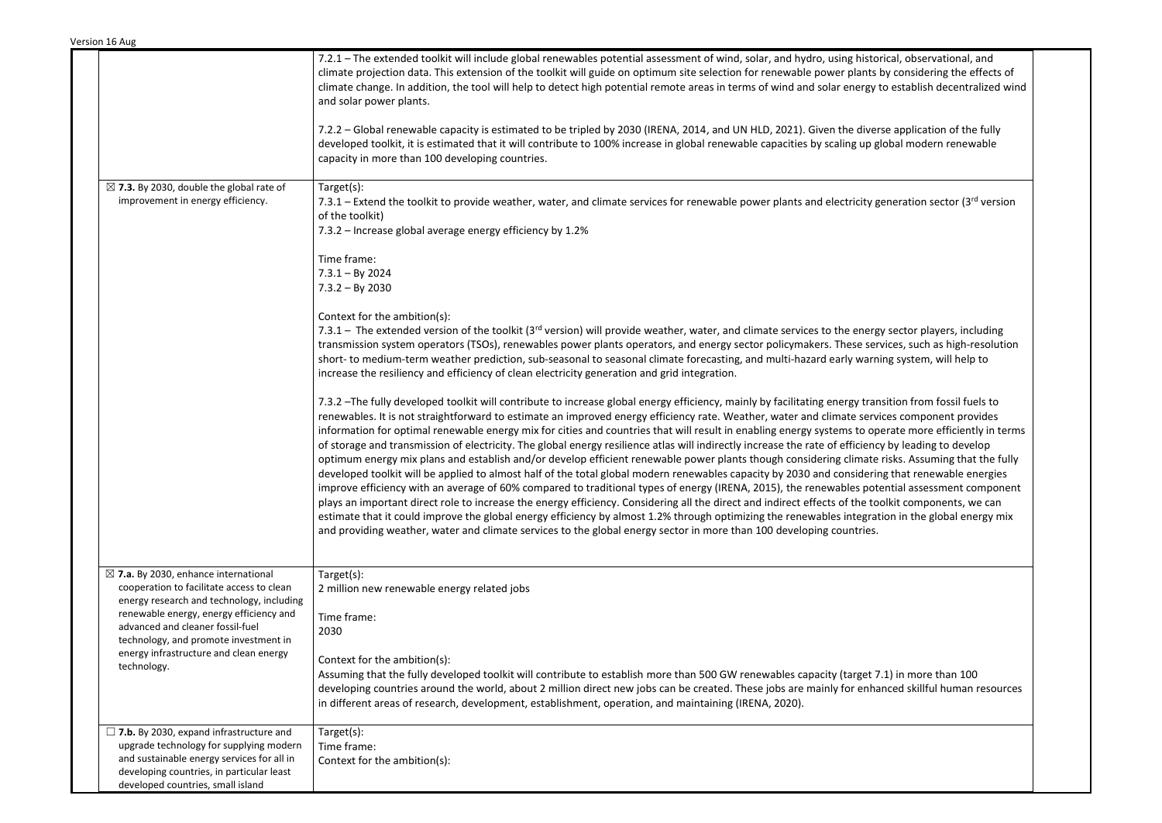|                                                                                                                                                                                                                                                                   | 7.2.1 – The extended toolkit will include global renewables potential assessment of wind, solar, and hydro, using historical, observational, and<br>climate projection data. This extension of the toolkit will guide on optimum site selection for renewable power plants by considering the effects of<br>climate change. In addition, the tool will help to detect high potential remote areas in terms of wind and solar energy to establish decentralized wind<br>and solar power plants.                                                                                                                                                                                                                                                                                                                                                                                                                                                                                                                                                                                                                                                                                                                                                                                                                                                                                                                                                                                                                        |
|-------------------------------------------------------------------------------------------------------------------------------------------------------------------------------------------------------------------------------------------------------------------|-----------------------------------------------------------------------------------------------------------------------------------------------------------------------------------------------------------------------------------------------------------------------------------------------------------------------------------------------------------------------------------------------------------------------------------------------------------------------------------------------------------------------------------------------------------------------------------------------------------------------------------------------------------------------------------------------------------------------------------------------------------------------------------------------------------------------------------------------------------------------------------------------------------------------------------------------------------------------------------------------------------------------------------------------------------------------------------------------------------------------------------------------------------------------------------------------------------------------------------------------------------------------------------------------------------------------------------------------------------------------------------------------------------------------------------------------------------------------------------------------------------------------|
|                                                                                                                                                                                                                                                                   | 7.2.2 – Global renewable capacity is estimated to be tripled by 2030 (IRENA, 2014, and UN HLD, 2021). Given the diverse application of the fully<br>developed toolkit, it is estimated that it will contribute to 100% increase in global renewable capacities by scaling up global modern renewable<br>capacity in more than 100 developing countries.                                                                                                                                                                                                                                                                                                                                                                                                                                                                                                                                                                                                                                                                                                                                                                                                                                                                                                                                                                                                                                                                                                                                                               |
| $\boxtimes$ 7.3. By 2030, double the global rate of<br>improvement in energy efficiency.                                                                                                                                                                          | Target(s):<br>7.3.1 – Extend the toolkit to provide weather, water, and climate services for renewable power plants and electricity generation sector (3rd version<br>of the toolkit)<br>7.3.2 - Increase global average energy efficiency by 1.2%                                                                                                                                                                                                                                                                                                                                                                                                                                                                                                                                                                                                                                                                                                                                                                                                                                                                                                                                                                                                                                                                                                                                                                                                                                                                    |
|                                                                                                                                                                                                                                                                   | Time frame:<br>$7.3.1 - By 2024$<br>$7.3.2 - By 2030$                                                                                                                                                                                                                                                                                                                                                                                                                                                                                                                                                                                                                                                                                                                                                                                                                                                                                                                                                                                                                                                                                                                                                                                                                                                                                                                                                                                                                                                                 |
|                                                                                                                                                                                                                                                                   | Context for the ambition(s):<br>7.3.1 – The extended version of the toolkit (3 <sup>rd</sup> version) will provide weather, water, and climate services to the energy sector players, including<br>transmission system operators (TSOs), renewables power plants operators, and energy sector policymakers. These services, such as high-resolution<br>short- to medium-term weather prediction, sub-seasonal to seasonal climate forecasting, and multi-hazard early warning system, will help to<br>increase the resiliency and efficiency of clean electricity generation and grid integration.                                                                                                                                                                                                                                                                                                                                                                                                                                                                                                                                                                                                                                                                                                                                                                                                                                                                                                                    |
|                                                                                                                                                                                                                                                                   | 7.3.2 -The fully developed toolkit will contribute to increase global energy efficiency, mainly by facilitating energy transition from fossil fuels to<br>renewables. It is not straightforward to estimate an improved energy efficiency rate. Weather, water and climate services component provides<br>information for optimal renewable energy mix for cities and countries that will result in enabling energy systems to operate more efficiently in terms<br>of storage and transmission of electricity. The global energy resilience atlas will indirectly increase the rate of efficiency by leading to develop<br>optimum energy mix plans and establish and/or develop efficient renewable power plants though considering climate risks. Assuming that the fully<br>developed toolkit will be applied to almost half of the total global modern renewables capacity by 2030 and considering that renewable energies<br>improve efficiency with an average of 60% compared to traditional types of energy (IRENA, 2015), the renewables potential assessment component<br>plays an important direct role to increase the energy efficiency. Considering all the direct and indirect effects of the toolkit components, we can<br>estimate that it could improve the global energy efficiency by almost 1.2% through optimizing the renewables integration in the global energy mix<br>and providing weather, water and climate services to the global energy sector in more than 100 developing countries. |
| $\boxtimes$ 7.a. By 2030, enhance international<br>cooperation to facilitate access to clean<br>energy research and technology, including<br>renewable energy, energy efficiency and<br>advanced and cleaner fossil-fuel<br>technology, and promote investment in | Target(s):<br>2 million new renewable energy related jobs<br>Time frame:<br>2030                                                                                                                                                                                                                                                                                                                                                                                                                                                                                                                                                                                                                                                                                                                                                                                                                                                                                                                                                                                                                                                                                                                                                                                                                                                                                                                                                                                                                                      |
| energy infrastructure and clean energy<br>technology.                                                                                                                                                                                                             | Context for the ambition(s):<br>Assuming that the fully developed toolkit will contribute to establish more than 500 GW renewables capacity (target 7.1) in more than 100<br>developing countries around the world, about 2 million direct new jobs can be created. These jobs are mainly for enhanced skillful human resources<br>in different areas of research, development, establishment, operation, and maintaining (IRENA, 2020).                                                                                                                                                                                                                                                                                                                                                                                                                                                                                                                                                                                                                                                                                                                                                                                                                                                                                                                                                                                                                                                                              |
| $\Box$ 7.b. By 2030, expand infrastructure and<br>upgrade technology for supplying modern                                                                                                                                                                         | Target(s):<br>Time frame:                                                                                                                                                                                                                                                                                                                                                                                                                                                                                                                                                                                                                                                                                                                                                                                                                                                                                                                                                                                                                                                                                                                                                                                                                                                                                                                                                                                                                                                                                             |
| and sustainable energy services for all in<br>developing countries, in particular least<br>developed countries, small island                                                                                                                                      | Context for the ambition(s):                                                                                                                                                                                                                                                                                                                                                                                                                                                                                                                                                                                                                                                                                                                                                                                                                                                                                                                                                                                                                                                                                                                                                                                                                                                                                                                                                                                                                                                                                          |

| rical, observational, and<br>by considering the effects of<br>to establish decentralized wind                                                                                                                                                                                       |  |
|-------------------------------------------------------------------------------------------------------------------------------------------------------------------------------------------------------------------------------------------------------------------------------------|--|
| rse application of the fully<br>dobal modern renewable                                                                                                                                                                                                                              |  |
| generation sector (3 <sup>rd</sup> version                                                                                                                                                                                                                                          |  |
|                                                                                                                                                                                                                                                                                     |  |
| gy sector players, including<br>rvices, such as high-resolution<br>iing system, will help to                                                                                                                                                                                        |  |
| nsition from fossil fuels to<br>ices component provides<br>berate more efficiently in terms<br>cy by leading to develop<br>risks. Assuming that the fully<br>ng that renewable energies<br>ential assessment component<br>olkit components, we can<br>tion in the global energy mix |  |
| 7.1) in more than 100<br>anced skillful human resources                                                                                                                                                                                                                             |  |
|                                                                                                                                                                                                                                                                                     |  |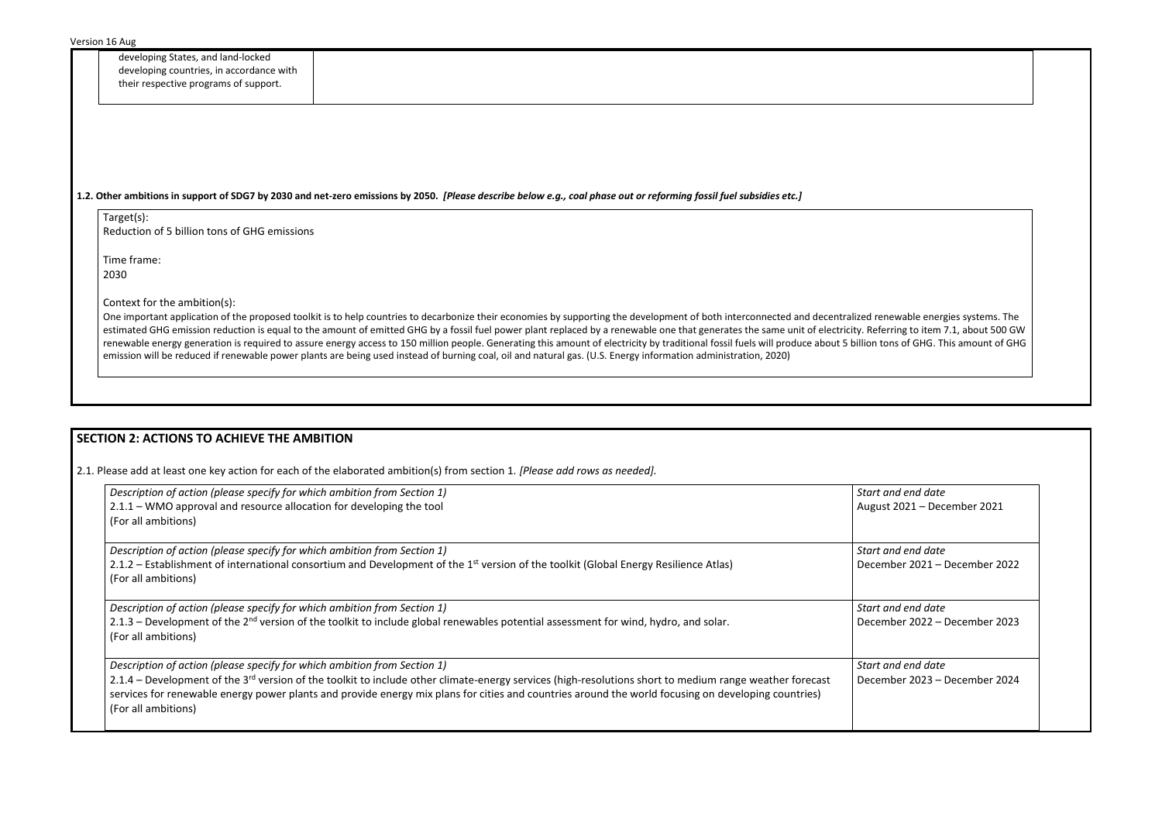developing States, and land-locked developing countries, in accordance with their respective programs of support.

### **1.2. Other ambitions in support of SDG7 by 2030 and net-zero emissions by 2050.** *[Please describe below e.g., coal phase out or reforming fossil fuel subsidies etc.]*

Target(s): Reduction of 5 billion tons of GHG emissions

Time frame: 2030

Context for the ambition(s):

One important application of the proposed toolkit is to help countries to decarbonize their economies by supporting the development of both interconnected and decentralized renewable energies systems. The estimated GHG emission reduction is equal to the amount of emitted GHG by a fossil fuel power plant replaced by a renewable one that generates the same unit of electricity. Referring to item 7.1, about 500 GW renewable energy generation is required to assure energy access to 150 million people. Generating this amount of electricity by traditional fossil fuels will produce about 5 billion tons of GHG. This amount of GHG emission will be reduced if renewable power plants are being used instead of burning coal, oil and natural gas. (U.S. Energy information administration, 2020)

> *Start and end date* ust 2021 – December 2021

*Start and end date*  ember 2021 – December 2022

*Start and end date*  ember 2022 – December 2023

# **SECTION 2: ACTIONS TO ACHIEVE THE AMBITION**

*Start and end date*  ember 2023 – December 2024

2.1. Please add at least one key action for each of the elaborated ambition(s) from section 1. *[Please add rows as needed].*

| Description of action (please specify for which ambition from Section 1)                                                                                            | <b>Start</b> |
|---------------------------------------------------------------------------------------------------------------------------------------------------------------------|--------------|
| 2.1.1 – WMO approval and resource allocation for developing the tool                                                                                                | Augu         |
| (For all ambitions)                                                                                                                                                 |              |
| Description of action (please specify for which ambition from Section 1)                                                                                            | <b>Start</b> |
| 2.1.2 – Establishment of international consortium and Development of the 1 <sup>st</sup> version of the toolkit (Global Energy Resilience Atlas)                    | Dece         |
| (For all ambitions)                                                                                                                                                 |              |
| Description of action (please specify for which ambition from Section 1)                                                                                            | <b>Start</b> |
| 2.1.3 – Development of the 2 <sup>nd</sup> version of the toolkit to include global renewables potential assessment for wind, hydro, and solar.                     | Dece         |
| (For all ambitions)                                                                                                                                                 |              |
| Description of action (please specify for which ambition from Section 1)                                                                                            | <b>Start</b> |
| 2.1.4 – Development of the 3 <sup>rd</sup> version of the toolkit to include other climate-energy services (high-resolutions short to medium range weather forecast | Dece         |
| services for renewable energy power plants and provide energy mix plans for cities and countries around the world focusing on developing countries)                 |              |
| (For all ambitions)                                                                                                                                                 |              |
|                                                                                                                                                                     |              |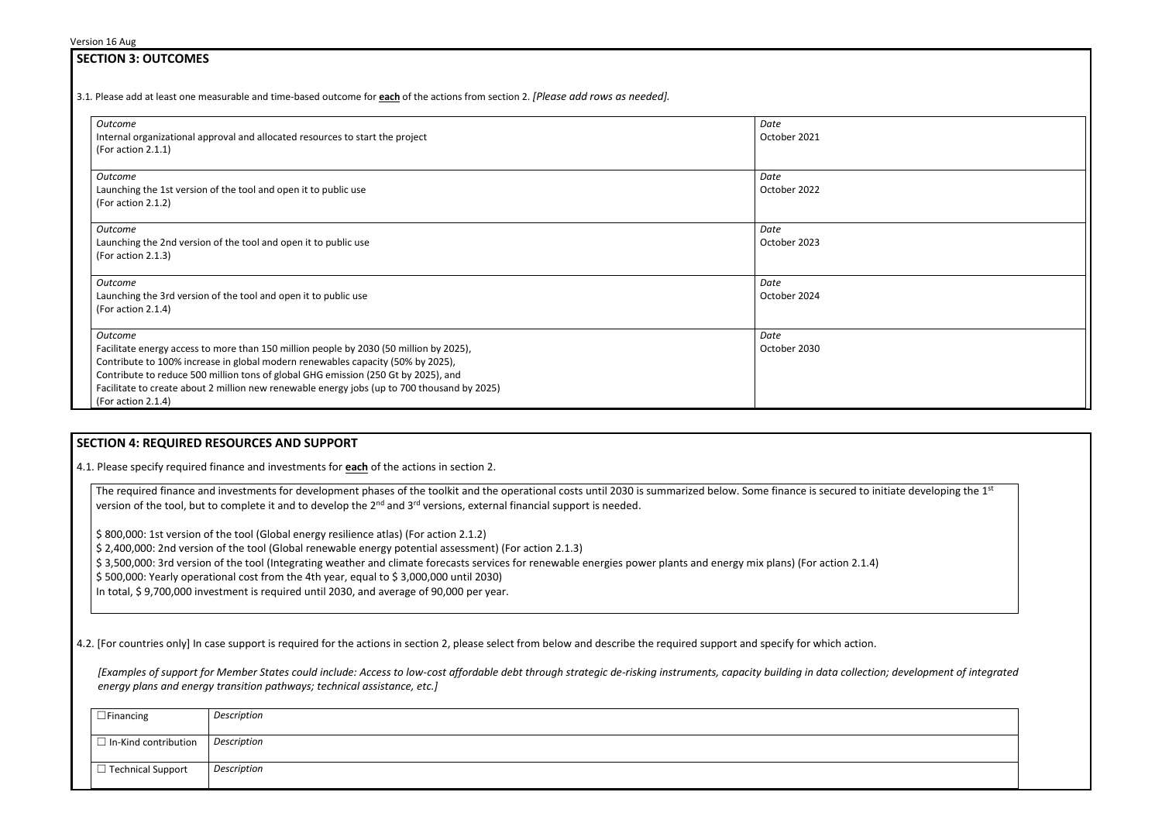| <b>SECTION 3: OUTCOMES</b>                                                                                                                                                                                                                                                                                                                                                                      |                      |
|-------------------------------------------------------------------------------------------------------------------------------------------------------------------------------------------------------------------------------------------------------------------------------------------------------------------------------------------------------------------------------------------------|----------------------|
| 3.1. Please add at least one measurable and time-based outcome for <b>each</b> of the actions from section 2. [Please add rows as needed].                                                                                                                                                                                                                                                      |                      |
| <b>Outcome</b><br>Internal organizational approval and allocated resources to start the project<br>(For action 2.1.1)                                                                                                                                                                                                                                                                           | Date<br>October 2021 |
| Outcome<br>Launching the 1st version of the tool and open it to public use<br>(For action 2.1.2)                                                                                                                                                                                                                                                                                                | Date<br>October 2022 |
| Outcome<br>Launching the 2nd version of the tool and open it to public use<br>(For action 2.1.3)                                                                                                                                                                                                                                                                                                | Date<br>October 2023 |
| Outcome<br>Launching the 3rd version of the tool and open it to public use<br>(For action 2.1.4)                                                                                                                                                                                                                                                                                                | Date<br>October 2024 |
| Outcome<br>Facilitate energy access to more than 150 million people by 2030 (50 million by 2025),<br>Contribute to 100% increase in global modern renewables capacity (50% by 2025),<br>Contribute to reduce 500 million tons of global GHG emission (250 Gt by 2025), and<br>Facilitate to create about 2 million new renewable energy jobs (up to 700 thousand by 2025)<br>(For action 2.1.4) | Date<br>October 2030 |

## **SECTION 4: REQUIRED RESOURCES AND SUPPORT**

4.1. Please specify required finance and investments for **each** of the actions in section 2.

The required finance and investments for development phases of the toolkit and the operational costs until 2030 is summarized below. Some finance is secured to initiate developing the  $1<sup>st</sup>$ version of the tool, but to complete it and to develop the 2<sup>nd</sup> and 3<sup>rd</sup> versions, external financial support is needed.

\$ 800,000: 1st version of the tool (Global energy resilience atlas) (For action 2.1.2)

\$ 2,400,000: 2nd version of the tool (Global renewable energy potential assessment) (For action 2.1.3)

\$ 3,500,000: 3rd version of the tool (Integrating weather and climate forecasts services for renewable energies power plants and energy mix plans) (For action 2.1.4)

\$ 500,000: Yearly operational cost from the 4th year, equal to \$ 3,000,000 until 2030)

In total, \$ 9,700,000 investment is required until 2030, and average of 90,000 per year.

4.2. [For countries only] In case support is required for the actions in section 2, please select from below and describe the required support and specify for which action.

*[Examples of support for Member States could include: Access to low-cost affordable debt through strategic de-risking instruments, capacity building in data collection; development of integrated energy plans and energy transition pathways; technical assistance, etc.]*

| $\Box$ Financing            | Description |
|-----------------------------|-------------|
| $\Box$ In-Kind contribution | Description |
| $\Box$ Technical Support    | Description |

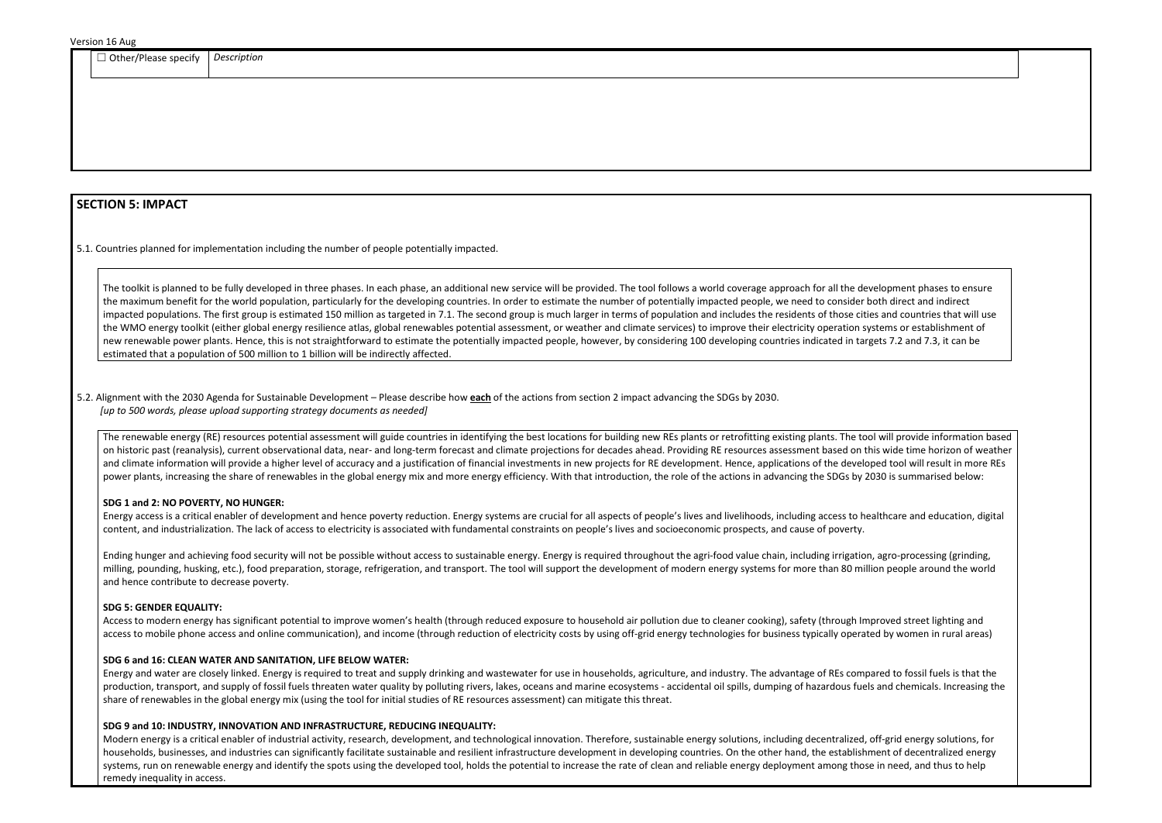| Othe<br>: specity<br>ar/Plaa<br>-ase<br>--                                                                                                                                                                             | Description |
|------------------------------------------------------------------------------------------------------------------------------------------------------------------------------------------------------------------------|-------------|
| and the state of the state of the state of the state of the state of the state of the state of the state of the<br>the contract of the contract of the contract of the contract of the contract of the contract of the |             |
|                                                                                                                                                                                                                        |             |

## **SECTION 5: IMPACT**

5.1. Countries planned for implementation including the number of people potentially impacted.

The toolkit is planned to be fully developed in three phases. In each phase, an additional new service will be provided. The tool follows a world coverage approach for all the development phases to ensure the maximum benefit for the world population, particularly for the developing countries. In order to estimate the number of potentially impacted people, we need to consider both direct and indirect impacted populations. The first group is estimated 150 million as targeted in 7.1. The second group is much larger in terms of population and includes the residents of those cities and countries that will use the WMO energy toolkit (either global energy resilience atlas, global renewables potential assessment, or weather and climate services) to improve their electricity operation systems or establishment of new renewable power plants. Hence, this is not straightforward to estimate the potentially impacted people, however, by considering 100 developing countries indicated in targets 7.2 and 7.3, it can be estimated that a population of 500 million to 1 billion will be indirectly affected.

#### 5.2. Alignment with the 2030 Agenda for Sustainable Development – Please describe how **each** of the actions from section 2 impact advancing the SDGs by 2030. *[up to 500 words, please upload supporting strategy documents as needed]*

The renewable energy (RE) resources potential assessment will guide countries in identifying the best locations for building new REs plants or retrofitting existing plants. The tool will provide information based on historic past (reanalysis), current observational data, near- and long-term forecast and climate projections for decades ahead. Providing RE resources assessment based on this wide time horizon of weather and climate information will provide a higher level of accuracy and a justification of financial investments in new projects for RE development. Hence, applications of the developed tool will result in more REs power plants, increasing the share of renewables in the global energy mix and more energy efficiency. With that introduction, the role of the actions in advancing the SDGs by 2030 is summarised below:

#### **SDG 1 and 2: NO POVERTY, NO HUNGER:**

Energy access is a critical enabler of development and hence poverty reduction. Energy systems are crucial for all aspects of people's lives and livelihoods, including access to healthcare and education, digital content, and industrialization. The lack of access to electricity is associated with fundamental constraints on people's lives and socioeconomic prospects, and cause of poverty.

Ending hunger and achieving food security will not be possible without access to sustainable energy. Energy is required throughout the agri-food value chain, including irrigation, agro-processing (grinding, milling, pounding, husking, etc.), food preparation, storage, refrigeration, and transport. The tool will support the development of modern energy systems for more than 80 million people around the world and hence contribute to decrease poverty.

#### **SDG 5: GENDER EQUALITY:**

Access to modern energy has significant potential to improve women's health (through reduced exposure to household air pollution due to cleaner cooking), safety (through Improved street lighting and access to mobile phone access and online communication), and income (through reduction of electricity costs by using off-grid energy technologies for business typically operated by women in rural areas)

#### **SDG 6 and 16: CLEAN WATER AND SANITATION, LIFE BELOW WATER:**

Energy and water are closely linked. Energy is required to treat and supply drinking and wastewater for use in households, agriculture, and industry. The advantage of REs compared to fossil fuels is that the production, transport, and supply of fossil fuels threaten water quality by polluting rivers, lakes, oceans and marine ecosystems - accidental oil spills, dumping of hazardous fuels and chemicals. Increasing the share of renewables in the global energy mix (using the tool for initial studies of RE resources assessment) can mitigate this threat.

#### **SDG 9 and 10: INDUSTRY, INNOVATION AND INFRASTRUCTURE, REDUCING INEQUALITY:**

Modern energy is a critical enabler of industrial activity, research, development, and technological innovation. Therefore, sustainable energy solutions, including decentralized, off-grid energy solutions, for households, businesses, and industries can significantly facilitate sustainable and resilient infrastructure development in developing countries. On the other hand, the establishment of decentralized energy systems, run on renewable energy and identify the spots using the developed tool, holds the potential to increase the rate of clean and reliable energy deployment among those in need, and thus to help remedy inequality in access.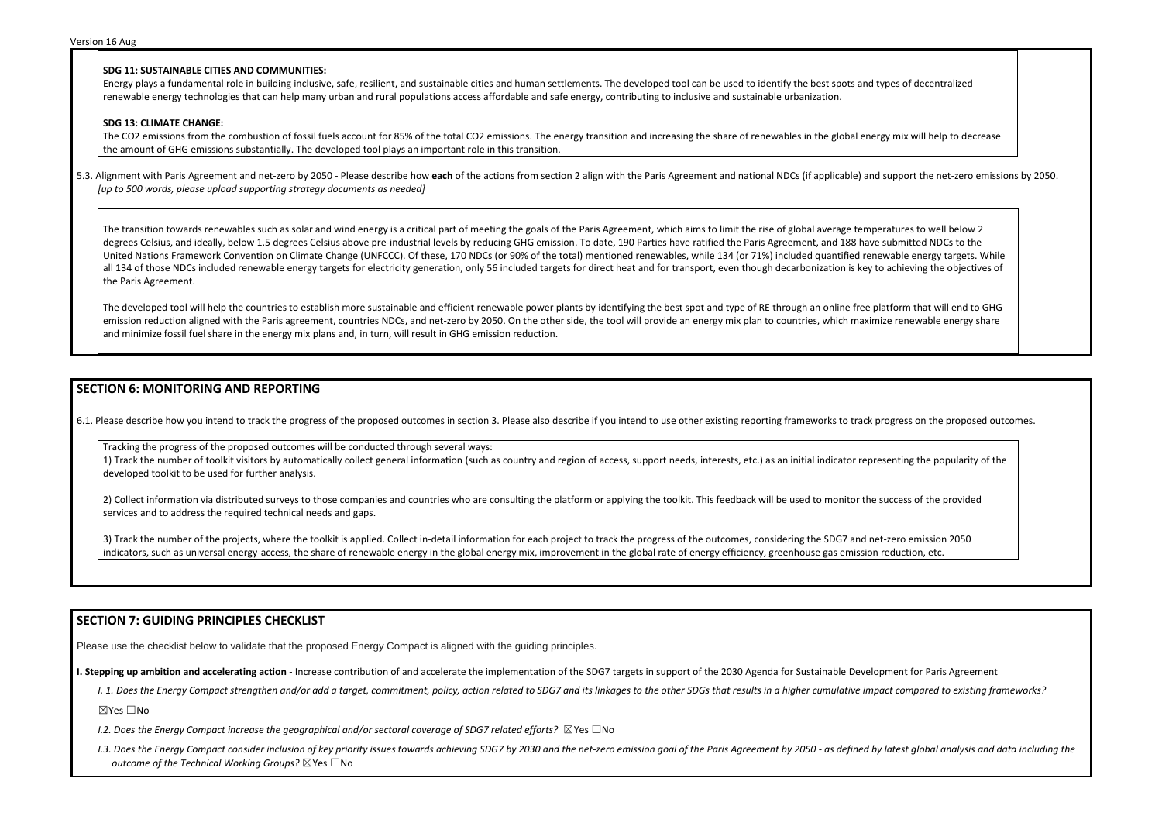#### **SDG 11: SUSTAINABLE CITIES AND COMMUNITIES:**

Energy plays a fundamental role in building inclusive, safe, resilient, and sustainable cities and human settlements. The developed tool can be used to identify the best spots and renewable energy technologies that can help many urban and rural populations access affordable and safe energy, contributing to inclusive and sustainable urbanization.

The CO2 emissions from the combustion of fossil fuels account for 85% of the total CO2 emissions. The energy transition and increasing the share of renewables in the global ene the amount of GHG emissions substantially. The developed tool plays an important role in this transition.

#### **SDG 13: CLIMATE CHANGE:**

5.3. Alignment with Paris Agreement and net-zero by 2050 - Please describe how each of the actions from section 2 align with the Paris Agreement and national NDCs (if applicable) and *[up to 500 words, please upload supporting strategy documents as needed]* 

The transition towards renewables such as solar and wind energy is a critical part of meeting the goals of the Paris Agreement, which aims to limit the rise of global average temp degrees Celsius, and ideally, below 1.5 degrees Celsius above pre-industrial levels by reducing GHG emission. To date, 190 Parties have ratified the Paris Agreement, and 188 have United Nations Framework Convention on Climate Change (UNFCCC). Of these, 170 NDCs (or 90% of the total) mentioned renewables, while 134 (or 71%) included quantified ren all 134 of those NDCs included renewable energy targets for electricity generation, only 56 included targets for direct heat and for transport, even though decarbonization is key the Paris Agreement.

The developed tool will help the countries to establish more sustainable and efficient renewable power plants by identifying the best spot and type of RE through an online free p emission reduction aligned with the Paris agreement, countries NDCs, and net-zero by 2050. On the other side, the tool will provide an energy mix plan to countries, which maximize renewable 1. and minimize fossil fuel share in the energy mix plans and, in turn, will result in GHG emission reduction.

1) Track the number of toolkit visitors by automatically collect general information (such as country and region of access, support needs, interests, etc.) as an initial indicator representing the popularity of the developed toolkit to be used for further analysis.

2) Collect information via distributed surveys to those companies and countries who are consulting the platform or applying the toolkit. This feedback will be used to monitor the success of the provided services and to address the required technical needs and gaps.

3) Track the number of the projects, where the toolkit is applied. Collect in-detail information for each project to track the progress of the outcomes, considering the SDG7 and net-zero emission 2050 indicators, such as universal energy-access, the share of renewable energy in the global energy mix, improvement in the global rate of energy efficiency, greenhouse gas emission reduction, etc.

- *I.2. Does the Energy Compact increase the geographical and/or sectoral coverage of SDG7 related efforts?* ⊠Yes □No
- I.3. Does the Energy Compact consider inclusion of key priority issues towards achieving SDG7 by 2030 and the net-zero emission goal of the Paris Agreement by 2050 as defined by latest global analysis and data including *outcome of the Technical Working Groups?* ☒Yes ☐No

| types of decentralized                                                                                                |  |
|-----------------------------------------------------------------------------------------------------------------------|--|
| rgy mix will help to decrease                                                                                         |  |
| d support the net-zero emissions by 2050.                                                                             |  |
| eratures to well below 2<br>e submitted NDCs to the<br>ewable energy targets. While<br>to achieving the objectives of |  |
| blatform that will end to GHG<br>nize renewable energy share                                                          |  |

## **SECTION 6: MONITORING AND REPORTING**

6.1. Please describe how you intend to track the progress of the proposed outcomes in section 3. Please also describe if you intend to use other existing reporting frameworks to track progress on the proposed outcomes.

Tracking the progress of the proposed outcomes will be conducted through several ways:

## **SECTION 7: GUIDING PRINCIPLES CHECKLIST**

Please use the checklist below to validate that the proposed Energy Compact is aligned with the guiding principles.

**I. Stepping up ambition and accelerating action** - Increase contribution of and accelerate the implementation of the SDG7 targets in support of the 2030 Agenda for Sustainable Development for Paris Agreement

I. 1. Does the Energy Compact strengthen and/or add a target, commitment, policy, action related to SDG7 and its linkages to the other SDGs that results in a higher cumulative impact compared to existing frameworks?

☒Yes ☐No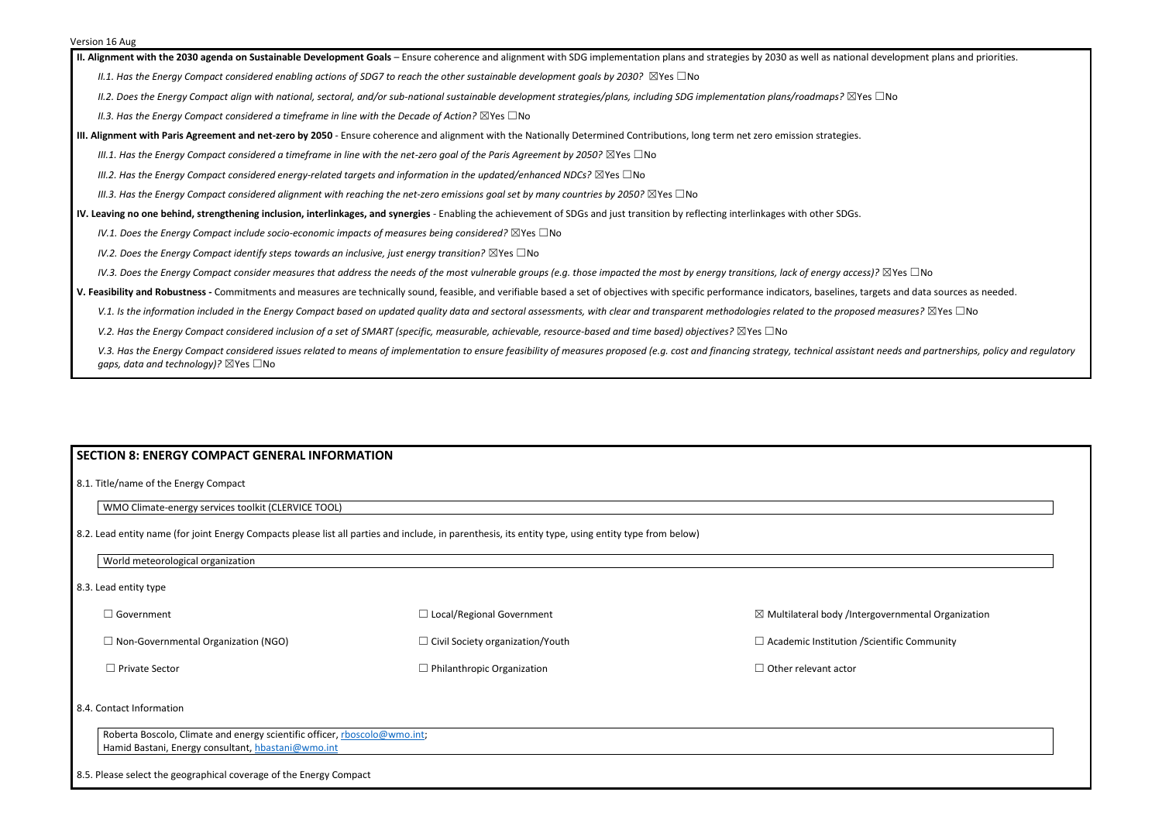**II. Alignment with the 2030 agenda on Sustainable Development Goals** – Ensure coherence and alignment with SDG implementation plans and strategies by 2030 as well as national development plans and priorities.

*II.1. Has the Energy Compact considered enabling actions of SDG7 to reach the other sustainable development goals by 2030?* ⊠Yes □No

*II.2. Does the Energy Compact align with national, sectoral, and/or sub-national sustainable development strategies/plans, including SDG implementation plans/roadmaps?* ☒Yes ☐No

*II.3. Has the Energy Compact considered a timeframe in line with the Decade of Action?* ⊠Yes □No

**III. Alignment with Paris Agreement and net-zero by 2050** - Ensure coherence and alignment with the Nationally Determined Contributions, long term net zero emission strategies.

*III.1. Has the Energy Compact considered a timeframe in line with the net-zero goal of the Paris Agreement by 2050?* ⊠Yes □No

*III.2. Has the Energy Compact considered energy-related targets and information in the updated/enhanced NDCs?* ⊠Yes □No

*III.3. Has the Energy Compact considered alignment with reaching the net-zero emissions goal set by many countries by 2050?* ⊠Yes □No

**IV. Leaving no one behind, strengthening inclusion, interlinkages, and synergies** - Enabling the achievement of SDGs and just transition by reflecting interlinkages with other SDGs.

*IV.1. Does the Energy Compact include socio-economic impacts of measures being considered?* ⊠Yes □No

*IV.2. Does the Energy Compact identify steps towards an inclusive, just energy transition?* ⊠Yes □No

*IV.3. Does the Energy Compact consider measures that address the needs of the most vulnerable groups (e.g. those impacted the most by energy transitions, lack of energy access)?* ⊠Yes □No

| World meteorological organization          |                                         |                                                               |
|--------------------------------------------|-----------------------------------------|---------------------------------------------------------------|
| 8.3. Lead entity type                      |                                         |                                                               |
| $\exists$ Government                       | $\Box$ Local/Regional Government        | $\boxtimes$ Multilateral body /Intergovernmental Organization |
| $\Box$ Non-Governmental Organization (NGO) | $\Box$ Civil Society organization/Youth | $\Box$ Academic Institution / Scientific Community            |
| $\Box$ Private Sector                      | $\Box$ Philanthropic Organization       | $\Box$ Other relevant actor                                   |
|                                            |                                         |                                                               |

**V. Feasibility and Robustness -** Commitments and measures are technically sound, feasible, and verifiable based a set of objectives with specific performance indicators, baselines, targets and data sources as needed.

V.1. Is the information included in the Energy Compact based on updated quality data and sectoral assessments, with clear and transparent methodologies related to the proposed measures? ⊠Yes □No

*V.2. Has the Energy Compact considered inclusion of a set of SMART (specific, measurable, achievable, resource-based and time based) objectives?* ⊠Yes □No

V.3. Has the Energy Compact considered issues related to means of implementation to ensure feasibility of measures proposed (e.g. cost and financing strategy, technical assistant needs and partnerships, policy and regulato *gaps, data and technology)?* ⊠Yes □No

## **SECTION 8: ENERGY COMPACT GENERAL INFORMATION**

8.1. Title/name of the Energy Compact

WMO Climate-energy services toolkit (CLERVICE TOOL)

8.2. Lead entity name (for joint Energy Compacts please list all parties and include, in parenthesis, its entity type, using entity type from below)

#### 8.4. Contact Information

Roberta Boscolo, Climate and energy scientific officer, [rboscolo@wmo.int;](mailto:rboscolo@wmo.int) Hamid Bastani, Energy consultant, [hbastani@wmo.int](mailto:hbastani@wmo.int)

8.5. Please select the geographical coverage of the Energy Compact

| vernmental Organization |  |
|-------------------------|--|
| entific Community       |  |
|                         |  |
|                         |  |
|                         |  |
|                         |  |
|                         |  |